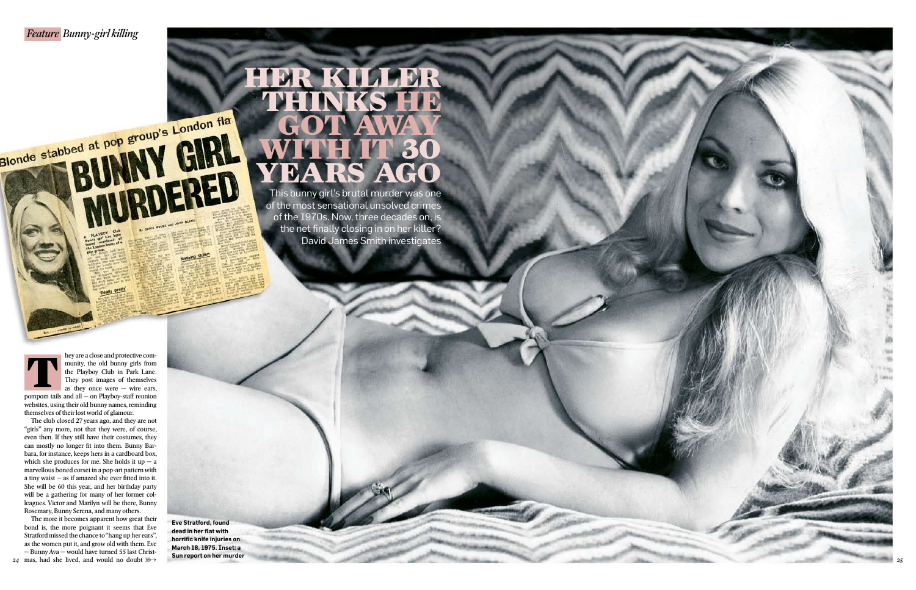**Eve Stratford, found**  dead in her flat with **horrific knife injuries on March 18, 1975. Inset: a Sun report on her murder**

hey are a close and protective community, the old bunny girls from the Playboy Club in Park Lane. They post images of themselves as they once were  $-$  wire ears,

Blonde stabbed at pop group's London fla

GIRL

IDNERED

pompom tails and all — on Playboy-staff reunion websites, using their old bunny names, reminding themselves of their lost world of glamour.

The club closed 27 years ago, and they are not "girls" any more, not that they were, of course, even then. If they still have their costumes, they can mostly no longer fit into them. Bunny Barbara, for instance, keeps hers in a cardboard box, which she produces for me. She holds it up  $-$  a marvellous boned corset in a pop-art pattern with a tiny waist  $-$  as if amazed she ever fitted into it. She will be 60 this year, and her birthday party will be a gathering for many of her former colleagues. Victor and Marilyn will be there, Bunny Rosemary, Bunny Serena, and many others.

The more it becomes apparent how great their bond is, the more poignant it seems that Eve Stratford missed the chance to "hang up her ears", as the women put it, and grow old with them. Eve — Bunny Ava — would have turned 55 last Christmas, had she lived, and would no doubt *24*



# HER KILLER THINKS HE GOT AWAY WITH IT 30 YEARS AGO

This bunny girl's brutal murder was one of the most sensational unsolved crimes of the 1970s. Now, three decades on, is the net finally closing in on her killer? David James Smith investigates

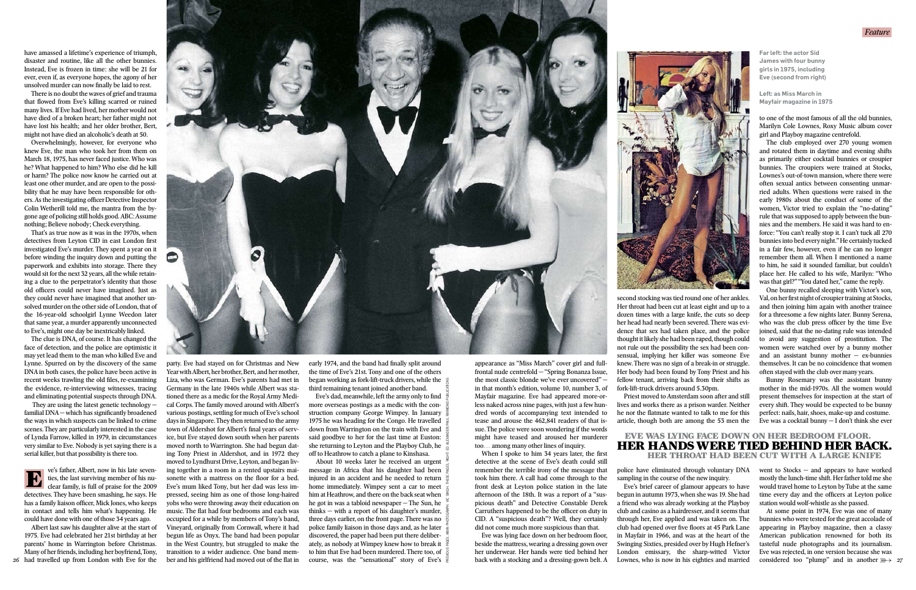second stocking was tied round one of her ankles. Her throat had been cut at least eight and up to a dozen times with a large knife, the cuts so deep her head had nearly been severed. There was evidence that sex had taken place, and the police thought it likely she had been raped, though could not rule out the possibility the sex had been consensual, implying her killer was someone Eve knew. There was no sign of a break-in or struggle. Her body had been found by Tony Priest and his fellow tenant, arriving back from their shifts as fork-lift-truck drivers around 5.30pm.

party. Eve had stayed on for Christmas and New Year with Albert, her brother, Bert, and her mother, Liza, who was German. Eve's parents had met in Germany in the late 1940s while Albert was stationed there as a medic for the Royal Army Medical Corps. The family moved around with Albert's various postings, settling for much of Eve's school days in Singapore. They then returned to the army town of Aldershot for Albert's final years of service, but Eve stayed down south when her parents moved north to Warrington. She had begun dating Tony Priest in Aldershot, and in 1972 they moved to Lyndhurst Drive, Leyton, and began living together in a room in a rented upstairs maisonette with a mattress on the floor for a bed. Eve's mum liked Tony, but her dad was less impressed, seeing him as one of those long-haired yobs who were throwing away their education on music. The flat had four bedrooms and each was occupied for a while by members of Tony's band, Vineyard, originally from Cornwall, where it had begun life as Onyx. The band had been popular in the West Country, but struggled to make the transition to a wider audience. One band member and his girlfriend had moved out of the flat in

Priest moved to Amsterdam soon after and still lives and works there as a prison warder. Neither he nor the flatmate wanted to talk to me for this article, though both are among the 53 men the

police have eliminated through voluntary DNA sampling in the course of the new inquiry.

Eve's brief career of glamour appears to have begun in autumn 1973, when she was 19. She had a friend who was already working at the Playboy club and casino as a hairdresser, and it seems that through her, Eve applied and was taken on. The club had opened over five floors at 45 Park Lane in Mayfair in 1966, and was at the heart of the Swinging Sixties, presided over by Hugh Hefner's London emissary, the sharp-witted Victor Lownes, who is now in his eighties and married

early 1974, and the band had finally split around the time of Eve's 21st. Tony and one of the others began working as fork-lift-truck drivers, while the third remaining tenant joined another band.

About 10 weeks later he received an urgent message in Africa that his daughter had been injured in an accident and he needed to return home immediately. Wimpey sent a car to meet him at Heathrow, and there on the back seat when he got in was a tabloid newspaper — The Sun, he thinks — with a report of his daughter's murder, three days earlier, on the front page. There was no police family liaison in those days and, as he later discovered, the paper had been put there deliberately, as nobody at Wimpey knew how to break it to him that Eve had been murdered. There too, of course, was the "sensational" story of Eve's  $\frac{6}{5}$ 

When I spoke to him 34 years later, the first detective at the scene of Eve's death could still remember the terrible irony of the message that took him there. A call had come through to the front desk at Leyton police station in the late afternoon of the 18th. It was a report of a "suspicious death" and Detective Constable Derek Carruthers happened to be the officer on duty in CID. A "suspicious death"? Well, they certainly did not come much more suspicious than that.

Eve was lying face down on her bedroom floor, beside the mattress, wearing a dressing gown over her underwear. Her hands were tied behind her back with a stocking and a dressing-gown belt. A



At some point in 1974, Eve was one of many bunnies who were tested for the great accolade of appearing in Playboy magazine, then a classy American publication renowned for both its tasteful nude photographs and its journalism. Eve was rejected, in one version because she was considered too "plump" and in another  $\mathbb{R} \rightarrow$  27

have amassed a lifetime's experience of triumph, disaster and routine, like all the other bunnies. Instead, Eve is frozen in time: she will be 21 for ever, even if, as everyone hopes, the agony of her unsolved murder can now finally be laid to rest.

> appearance as "Miss March" cover girl and fullfrontal nude centrefold — "Spring Bonanza Issue, the most classic blonde we've ever uncovered" in that month's edition, volume 10, number 3, of Mayfair magazine. Eve had appeared more-orless naked across nine pages, with just a few hundred words of accompanying text intended to tease and arouse the 462,841 readers of that issue. The police were soon wondering if the words might have teased and aroused her murderer too… among many other lines of inquiry.

to one of the most famous of all the old bunnies, Marilyn Cole Lownes, Roxy Music album cover girl and Playboy magazine centrefold.

Eve's dad, meanwhile, left the army only to find more overseas postings as a medic with the construction company George Wimpey. In January 1975 he was heading for the Congo. He travelled down from Warrington on the train with Eve and said goodbye to her for the last time at Euston: she returning to Leyton and the Playboy Club, he off to Heathrow to catch a plane to Kinshasa. PREVIOUS PAGES, MAIN PHOTOGRAPH: VIC SINGH. THESE PAGES, RIGHT: ED ALEXANDER/PAUL RAYMOND PUBLICATIONS

The club employed over 270 young women and rotated them in daytime and evening shifts as primarily either cocktail bunnies or croupier bunnies. The croupiers were trained at Stocks, Lownes's out-of-town mansion, where there were often sexual antics between consenting unmarried adults. When questions were raised in the early 1980s about the conduct of some of the women, Victor tried to explain the "no-dating" rule that was supposed to apply between the bunnies and the members. He said it was hard to enforce: "You can't really stop it. I can't tuck all 270 bunnies into bed every night." He certainly tucked in a fair few, however, even if he can no longer remember them all. When I mentioned a name to him, he said it sounded familiar, but couldn't place her. He called to his wife, Marilyn: "Who was that girl?" "You dated her," came the reply.

One bunny recalled sleeping with Victor's son, Val, on her first night of croupier training at Stocks, and then joining him again with another trainee for a threesome a few nights later. Bunny Serena, who was the club press officer by the time Eve joined, said that the no-dating rule was intended to avoid any suggestion of prostitution. The women were watched over by a bunny mother and an assistant bunny mother  $-$  ex-bunnies themselves. It can be no coincidence that women often stayed with the club over many years.

Bunny Rosemary was the assistant bunny mother in the mid-1970s. All the women would present themselves for inspection at the start of every shift. They would be expected to be bunny perfect: nails, hair, shoes, make-up and costume. Eve was a cocktail bunny — I don't think she ever

went to Stocks — and appears to have worked mostly the lunch-time shift. Her father told me she would travel home to Leyton by Tube at the same time every day and the officers at Leyton police station would wolf-whistle as she passed.

**Far left: the actor Sid James with four bunny girls in 1975, including Eve (second from right)**

**Left: as Miss March in Mayfair magazine in 1975**



## EVE WAS LYING FACE DOWN ON HER BEDROOM FLOOR. HER HANDS WERE TIED BEHIND HER BACK. HER THROAT HAD BEEN CUT WITH A LARGE KNIFE

There is no doubt the waves of grief and trauma that flowed from Eve's killing scarred or ruined many lives. If Eve had lived, her mother would not have died of a broken heart; her father might not have lost his health; and her older brother, Bert, might not have died an alcoholic's death at 50.

Overwhelmingly, however, for everyone who knew Eve, the man who took her from them on March 18, 1975, has never faced justice. Who was he? What happened to him? Who else did he kill or harm? The police now know he carried out at least one other murder, and are open to the possibility that he may have been responsible for others. As the investigating officer Detective Inspector Colin Wetherill told me, the mantra from the bygone age of policing still holds good. ABC: Assume nothing; Believe nobody; Check everything.

That's as true now as it was in the 1970s, when detectives from Leyton CID in east London first investigated Eve's murder. They spent a year on it before winding the inquiry down and putting the paperwork and exhibits into storage. There they would sit for the next 32 years, all the while retaining a clue to the perpetrator's identity that those old officers could never have imagined. Just as they could never have imagined that another unsolved murder on the other side of London, that of the 16-year-old schoolgirl Lynne Weedon later that same year, a murder apparently unconnected to Eve's, might one day be inextricably linked.

The clue is DNA, of course. It has changed the face of detection, and the police are optimistic it may yet lead them to the man who killed Eve and Lynne. Spurred on by the discovery of the same DNA in both cases, the police have been active in recent weeks trawling the old files, re-examining the evidence, re-interviewing witnesses, tracing and eliminating potential suspects through DNA.

 They are using the latest genetic technology familial  $DNA$  – which has significantly broadened the ways in which suspects can be linked to crime scenes. They are particularly interested in the case of Lynda Farrow, killed in 1979, in circumstances very similar to Eve. Nobody is yet saying there is a serial killer, but that possibility is there too.

ve's father, Albert, now in his late seventies, the last surviving member of his nuclear family, is full of praise for the 2009 detectives. They have been smashing, he says. He has a family liaison officer, Mick Jones, who keeps in contact and tells him what's happening. He could have done with one of those 34 years ago.

Albert last saw his daughter alive at the start of 1975. Eve had celebrated her 21st birthday at her parents' home in Warrington before Christmas. Many of her friends, including her boyfriend, Tony, had travelled up from London with Eve for the *26*